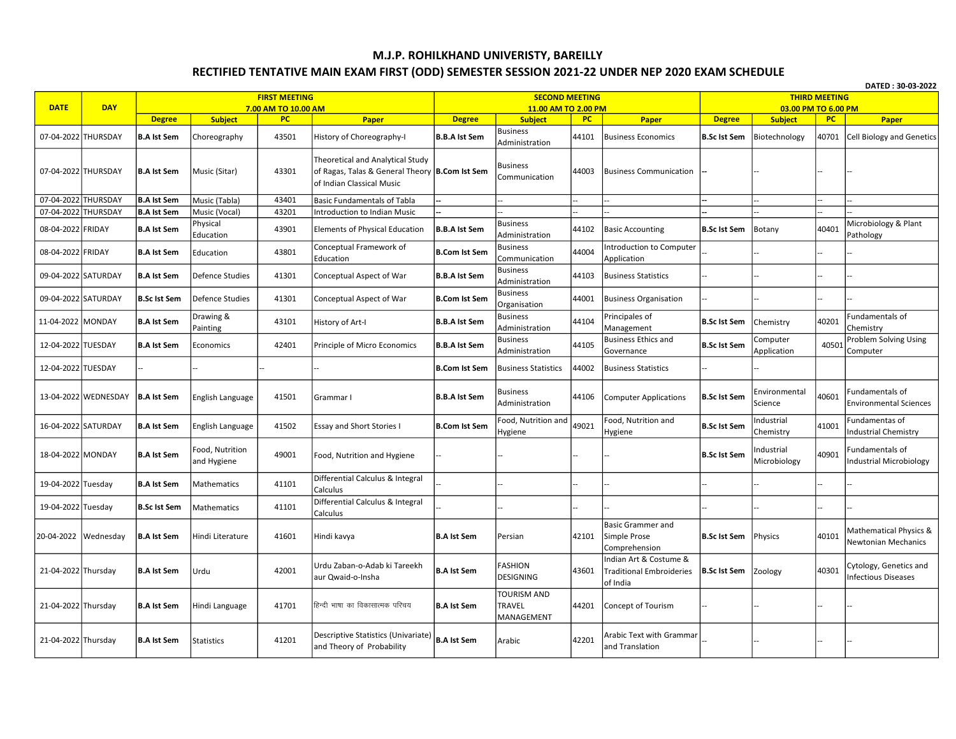## M.J.P. ROHILKHAND UNIVERISTY, BAREILLY RECTIFIED TENTATIVE MAIN EXAM FIRST (ODD) SEMESTER SESSION 2021-22 UNDER NEP 2020 EXAM SCHEDULE

| DATED: 30-03-2022   |                        |                                     |                                |                      |                                                                                                                 |                                       |                                                     |                    |                                                                       |                                      |                                 |              |                                                      |
|---------------------|------------------------|-------------------------------------|--------------------------------|----------------------|-----------------------------------------------------------------------------------------------------------------|---------------------------------------|-----------------------------------------------------|--------------------|-----------------------------------------------------------------------|--------------------------------------|---------------------------------|--------------|------------------------------------------------------|
|                     | <b>DAY</b>             |                                     |                                | <b>FIRST MEETING</b> |                                                                                                                 |                                       | <b>SECOND MEETING</b>                               |                    | <b>THIRD MEETING</b>                                                  |                                      |                                 |              |                                                      |
| <b>DATE</b>         |                        |                                     |                                | 7.00 AM TO 10.00 AM  |                                                                                                                 |                                       | 11.00 AM TO 2.00 PM                                 |                    |                                                                       |                                      | 03.00 PM TO 6.00 PM             |              |                                                      |
| 07-04-2022 THURSDAY |                        | <b>Degree</b><br><b>B.A Ist Sem</b> | <b>Subject</b><br>Choreography | <b>PC</b><br>43501   | Paper<br>History of Choreography-I                                                                              | <b>Degree</b><br><b>B.B.A Ist Sem</b> | <b>Subject</b><br><b>Business</b><br>Administration | <b>PC</b><br>44101 | Paper<br><b>Business Economics</b>                                    | <b>Degree</b><br><b>B.Sc Ist Sem</b> | <b>Subject</b><br>Biotechnology | PC.<br>40701 | Paper<br><b>Cell Biology and Genetics</b>            |
| 07-04-2022 THURSDAY |                        | <b>B.A Ist Sem</b>                  | Music (Sitar)                  | 43301                | Theoretical and Analytical Study<br>of Ragas, Talas & General Theory B.Com Ist Sem<br>of Indian Classical Music |                                       | Business<br>Communication                           | 44003              | <b>Business Communication</b>                                         |                                      |                                 |              |                                                      |
| 07-04-2022 THURSDAY |                        | <b>B.A Ist Sem</b>                  | Music (Tabla)                  | 43401                | <b>Basic Fundamentals of Tabla</b>                                                                              |                                       |                                                     |                    |                                                                       |                                      |                                 |              |                                                      |
| 07-04-2022 THURSDAY |                        | <b>B.A Ist Sem</b>                  | Music (Vocal)                  | 43201                | Introduction to Indian Music                                                                                    |                                       |                                                     |                    |                                                                       |                                      |                                 |              |                                                      |
| 08-04-2022 FRIDAY   |                        | <b>B.A Ist Sem</b>                  | Physical<br>Education          | 43901                | Elements of Physical Education                                                                                  | <b>B.B.A Ist Sem</b>                  | <b>Business</b><br>Administration                   | 44102              | <b>Basic Accounting</b>                                               | <b>B.Sc Ist Sem</b>                  | Botany                          | 40401        | Microbiology & Plant<br>Pathology                    |
| 08-04-2022 FRIDAY   |                        | <b>B.A Ist Sem</b>                  | Education                      | 43801                | Conceptual Framework of<br>Education                                                                            | <b>B.Com Ist Sem</b>                  | <b>Business</b><br>Communication                    | 44004              | <b>Introduction to Computer</b><br>Application                        |                                      |                                 |              |                                                      |
| 09-04-2022 SATURDAY |                        | <b>B.A Ist Sem</b>                  | Defence Studies                | 41301                | Conceptual Aspect of War                                                                                        | <b>B.B.A Ist Sem</b>                  | <b>Business</b><br>Administration                   | 44103              | <b>Business Statistics</b>                                            |                                      |                                 |              |                                                      |
| 09-04-2022 SATURDAY |                        | <b>B.Sc Ist Sem</b>                 | Defence Studies                | 41301                | Conceptual Aspect of War                                                                                        | <b>B.Com Ist Sem</b>                  | <b>Business</b><br>Organisation                     | 44001              | <b>Business Organisation</b>                                          |                                      |                                 |              |                                                      |
| 11-04-2022 MONDAY   |                        | <b>B.A Ist Sem</b>                  | Drawing &<br>Painting          | 43101                | History of Art-I                                                                                                | <b>B.B.A Ist Sem</b>                  | <b>Business</b><br>Administration                   | 44104              | Principales of<br>Management                                          | <b>B.Sc Ist Sem</b>                  | Chemistry                       | 40201        | Fundamentals of<br>Chemistry                         |
| 12-04-2022 TUESDAY  |                        | <b>B.A Ist Sem</b>                  | Economics                      | 42401                | Principle of Micro Economics                                                                                    | <b>B.B.A Ist Sem</b>                  | <b>Business</b><br>Administration                   | 44105              | <b>Business Ethics and</b><br>Governance                              | <b>B.Sc Ist Sem</b>                  | Computer<br>Application         | 40501        | Problem Solving Using<br>Computer                    |
| 12-04-2022 TUESDAY  |                        |                                     |                                |                      |                                                                                                                 | <b>B.Com Ist Sem</b>                  | <b>Business Statistics</b>                          | 44002              | <b>Business Statistics</b>                                            |                                      |                                 |              |                                                      |
|                     | 13-04-2022 WEDNESDAY   | <b>B.A Ist Sem</b>                  | English Language               | 41501                | Grammar I                                                                                                       | <b>B.B.A Ist Sem</b>                  | <b>Business</b><br>Administration                   | 44106              | <b>Computer Applications</b>                                          | <b>B.Sc Ist Sem</b>                  | Environmental<br>Science        | 40601        | Fundamentals of<br><b>Environmental Sciences</b>     |
| 16-04-2022 SATURDAY |                        | <b>B.A Ist Sem</b>                  | English Language               | 41502                | <b>Essay and Short Stories I</b>                                                                                | <b>B.Com Ist Sem</b>                  | ood, Nutrition and<br>lygiene                       | 49021              | Food, Nutrition and<br>Hygiene                                        | <b>B.Sc Ist Sem</b>                  | ndustrial<br>Chemistry          | 41001        | Fundamentas of<br><b>Industrial Chemistry</b>        |
| 18-04-2022 MONDAY   |                        | <b>B.A Ist Sem</b>                  | Food, Nutrition<br>and Hygiene | 49001                | Food, Nutrition and Hygiene                                                                                     |                                       |                                                     |                    |                                                                       | <b>B.Sc Ist Sem</b>                  | ndustrial<br>Microbiology       | 40901        | Fundamentals of<br><b>Industrial Microbiology</b>    |
| 19-04-2022 Tuesday  |                        | <b>B.A Ist Sem</b>                  | Mathematics                    | 41101                | Differential Calculus & Integral<br>Calculus                                                                    |                                       |                                                     |                    |                                                                       |                                      |                                 |              |                                                      |
| 19-04-2022 Tuesday  |                        | <b>B.Sc Ist Sem</b>                 | <b>Mathematics</b>             | 41101                | Differential Calculus & Integral<br>Calculus                                                                    |                                       |                                                     |                    |                                                                       |                                      |                                 |              |                                                      |
|                     | 20-04-2022   Wednesday | <b>B.A Ist Sem</b>                  | Hindi Literature               | 41601                | Hindi kavya                                                                                                     | <b>B.A Ist Sem</b>                    | Persian                                             | 42101              | <b>Basic Grammer and</b><br>Simple Prose<br>Comprehension             | <b>B.Sc Ist Sem</b>                  | Physics                         | 40101        | Mathematical Physics &<br>Newtonian Mechanics        |
| 21-04-2022 Thursday |                        | <b>B.A Ist Sem</b>                  | Urdu                           | 42001                | Urdu Zaban-o-Adab ki Tareekh<br>aur Qwaid-o-Insha                                                               | <b>B.A Ist Sem</b>                    | <b>ASHION</b><br>DESIGNING                          | 43601              | Indian Art & Costume &<br><b>Traditional Embroideries</b><br>of India | <b>B.Sc Ist Sem</b>                  | Zoology                         | 40301        | Cytology, Genetics and<br><b>Infectious Diseases</b> |
| 21-04-2022 Thursday |                        | <b>B.A Ist Sem</b>                  | Hindi Language                 | 41701                | हिन्दी भाषा का विकासात्मक परिचय                                                                                 | <b>B.A Ist Sem</b>                    | <b>TOURISM AND</b><br>TRAVEL<br>MANAGEMENT          | 44201              | Concept of Tourism                                                    |                                      |                                 |              |                                                      |
| 21-04-2022 Thursday |                        | <b>B.A Ist Sem</b>                  | <b>Statistics</b>              | 41201                | Descriptive Statistics (Univariate)<br>and Theory of Probability                                                | <b>B.A Ist Sem</b>                    | Arabic                                              | 42201              | Arabic Text with Grammar<br>and Translation                           |                                      |                                 |              |                                                      |